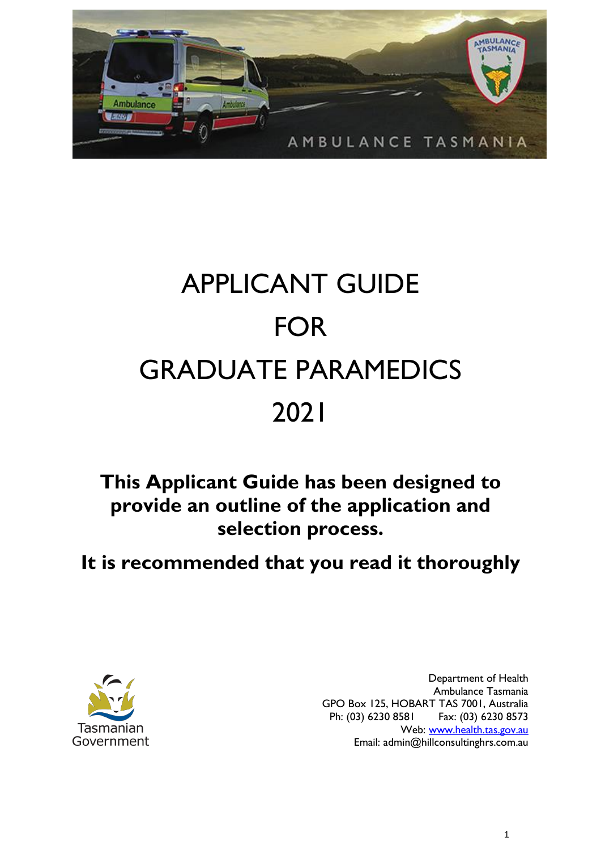

# APPLICANT GUIDE FOR GRADUATE PARAMEDICS 2021

# **This Applicant Guide has been designed to provide an outline of the application and selection process.**

# **It is recommended that you read it thoroughly**



Department of Health Ambulance Tasmania GPO Box 125, HOBART TAS 7001, Australia Ph: (03) 6230 8581 Fax: (03) 6230 8573 Web: [www.health.tas.gov.au](http://www.health.tas.gov.au/) Email: admin@hillconsultinghrs.com.au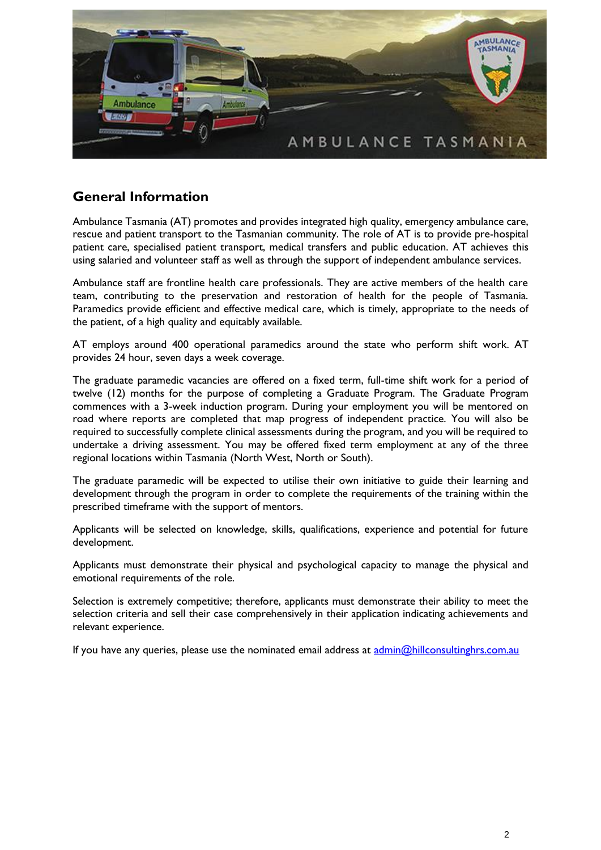

#### **General Information**

Ambulance Tasmania (AT) promotes and provides integrated high quality, emergency ambulance care, rescue and patient transport to the Tasmanian community. The role of AT is to provide pre-hospital patient care, specialised patient transport, medical transfers and public education. AT achieves this using salaried and volunteer staff as well as through the support of independent ambulance services.

Ambulance staff are frontline health care professionals. They are active members of the health care team, contributing to the preservation and restoration of health for the people of Tasmania. Paramedics provide efficient and effective medical care, which is timely, appropriate to the needs of the patient, of a high quality and equitably available.

AT employs around 400 operational paramedics around the state who perform shift work. AT provides 24 hour, seven days a week coverage.

The graduate paramedic vacancies are offered on a fixed term, full-time shift work for a period of twelve (12) months for the purpose of completing a Graduate Program. The Graduate Program commences with a 3-week induction program. During your employment you will be mentored on road where reports are completed that map progress of independent practice. You will also be required to successfully complete clinical assessments during the program, and you will be required to undertake a driving assessment. You may be offered fixed term employment at any of the three regional locations within Tasmania (North West, North or South).

The graduate paramedic will be expected to utilise their own initiative to guide their learning and development through the program in order to complete the requirements of the training within the prescribed timeframe with the support of mentors.

Applicants will be selected on knowledge, skills, qualifications, experience and potential for future development.

Applicants must demonstrate their physical and psychological capacity to manage the physical and emotional requirements of the role.

Selection is extremely competitive; therefore, applicants must demonstrate their ability to meet the selection criteria and sell their case comprehensively in their application indicating achievements and relevant experience.

If you have any queries, please use the nominated email address at [admin@hillconsultinghrs.com.au](mailto:admin@hillconsultinghrs.com.au)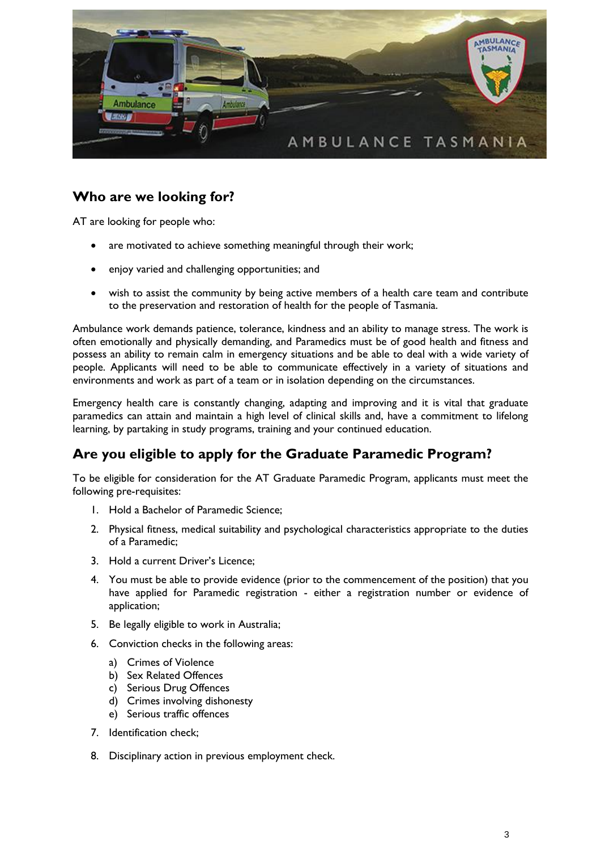

## **Who are we looking for?**

AT are looking for people who:

- are motivated to achieve something meaningful through their work;
- enjoy varied and challenging opportunities; and
- wish to assist the community by being active members of a health care team and contribute to the preservation and restoration of health for the people of Tasmania.

Ambulance work demands patience, tolerance, kindness and an ability to manage stress. The work is often emotionally and physically demanding, and Paramedics must be of good health and fitness and possess an ability to remain calm in emergency situations and be able to deal with a wide variety of people. Applicants will need to be able to communicate effectively in a variety of situations and environments and work as part of a team or in isolation depending on the circumstances.

Emergency health care is constantly changing, adapting and improving and it is vital that graduate paramedics can attain and maintain a high level of clinical skills and, have a commitment to lifelong learning, by partaking in study programs, training and your continued education.

#### **Are you eligible to apply for the Graduate Paramedic Program?**

To be eligible for consideration for the AT Graduate Paramedic Program, applicants must meet the following pre-requisites:

- 1. Hold a Bachelor of Paramedic Science;
- 2. Physical fitness, medical suitability and psychological characteristics appropriate to the duties of a Paramedic;
- 3. Hold a current Driver's Licence;
- 4. You must be able to provide evidence (prior to the commencement of the position) that you have applied for Paramedic registration - either a registration number or evidence of application;
- 5. Be legally eligible to work in Australia;
- 6. Conviction checks in the following areas:
	- a) Crimes of Violence
	- b) Sex Related Offences
	- c) Serious Drug Offences
	- d) Crimes involving dishonesty
	- e) Serious traffic offences
- 7. Identification check;
- 8. Disciplinary action in previous employment check.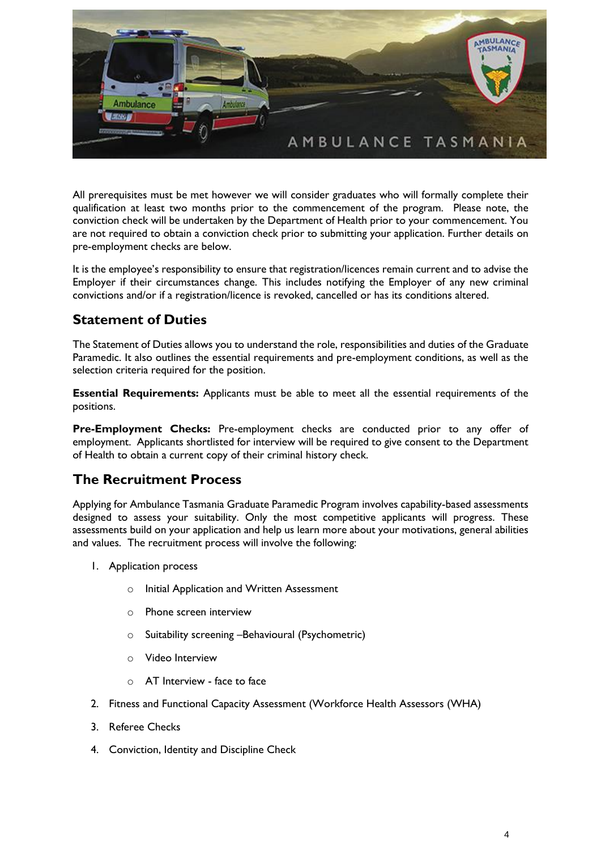

All prerequisites must be met however we will consider graduates who will formally complete their qualification at least two months prior to the commencement of the program. Please note, the conviction check will be undertaken by the Department of Health prior to your commencement. You are not required to obtain a conviction check prior to submitting your application. Further details on pre-employment checks are below.

It is the employee's responsibility to ensure that registration/licences remain current and to advise the Employer if their circumstances change. This includes notifying the Employer of any new criminal convictions and/or if a registration/licence is revoked, cancelled or has its conditions altered.

#### **Statement of Duties**

The Statement of Duties allows you to understand the role, responsibilities and duties of the Graduate Paramedic. It also outlines the essential requirements and pre-employment conditions, as well as the selection criteria required for the position.

**Essential Requirements:** Applicants must be able to meet all the essential requirements of the positions.

**Pre-Employment Checks:** Pre-employment checks are conducted prior to any offer of employment. Applicants shortlisted for interview will be required to give consent to the Department of Health to obtain a current copy of their criminal history check.

#### **The Recruitment Process**

Applying for Ambulance Tasmania Graduate Paramedic Program involves capability-based assessments designed to assess your suitability. Only the most competitive applicants will progress. These assessments build on your application and help us learn more about your motivations, general abilities and values. The recruitment process will involve the following:

- 1. Application process
	- o Initial Application and Written Assessment
	- o Phone screen interview
	- o Suitability screening –Behavioural (Psychometric)
	- o Video Interview
	- o AT Interview face to face
- 2. Fitness and Functional Capacity Assessment (Workforce Health Assessors (WHA)
- 3. Referee Checks
- 4. Conviction, Identity and Discipline Check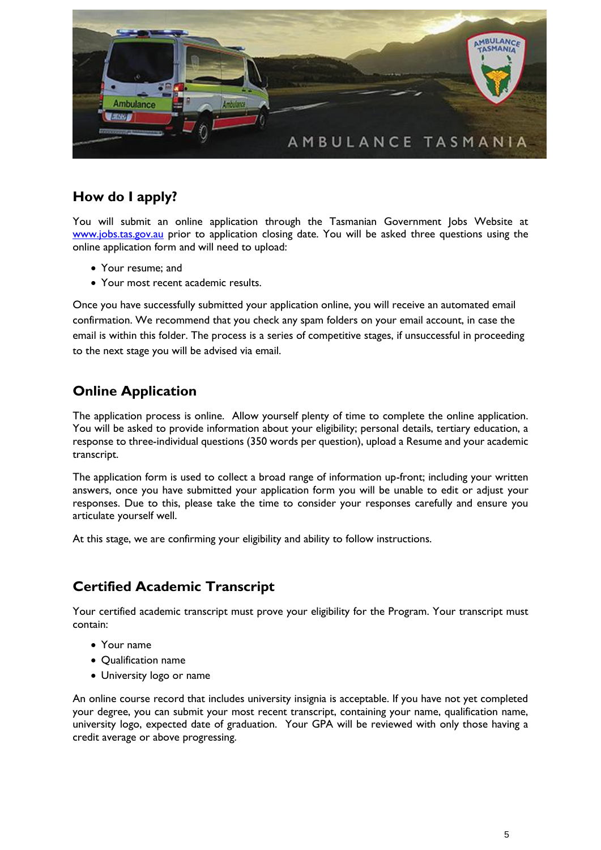

# **How do I apply?**

You will submit an online application through the Tasmanian Government Jobs Website at [www.jobs.tas.gov.au](http://www.jobs.tas.gov.au/) prior to application closing date. You will be asked three questions using the online application form and will need to upload:

- Your resume; and
- Your most recent academic results.

Once you have successfully submitted your application online, you will receive an automated email confirmation. We recommend that you check any spam folders on your email account, in case the email is within this folder. The process is a series of competitive stages, if unsuccessful in proceeding to the next stage you will be advised via email.

### **Online Application**

The application process is online. Allow yourself plenty of time to complete the online application. You will be asked to provide information about your eligibility; personal details, tertiary education, a response to three-individual questions (350 words per question), upload a Resume and your academic transcript.

The application form is used to collect a broad range of information up-front; including your written answers, once you have submitted your application form you will be unable to edit or adjust your responses. Due to this, please take the time to consider your responses carefully and ensure you articulate yourself well.

At this stage, we are confirming your eligibility and ability to follow instructions.

## **Certified Academic Transcript**

Your certified academic transcript must prove your eligibility for the Program. Your transcript must contain:

- Your name
- Qualification name
- University logo or name

An online course record that includes university insignia is acceptable. If you have not yet completed your degree, you can submit your most recent transcript, containing your name, qualification name, university logo, expected date of graduation. Your GPA will be reviewed with only those having a credit average or above progressing.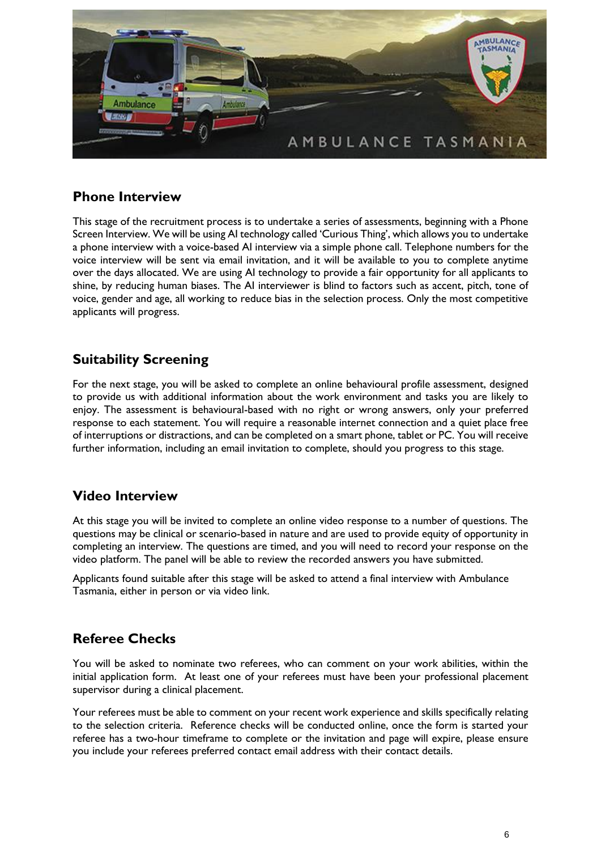

#### **Phone Interview**

This stage of the recruitment process is to undertake a series of assessments, beginning with a Phone Screen Interview. We will be using AI technology called 'Curious Thing', which allows you to undertake a phone interview with a voice-based AI interview via a simple phone call. Telephone numbers for the voice interview will be sent via email invitation, and it will be available to you to complete anytime over the days allocated. We are using AI technology to provide a fair opportunity for all applicants to shine, by reducing human biases. The AI interviewer is blind to factors such as accent, pitch, tone of voice, gender and age, all working to reduce bias in the selection process. Only the most competitive applicants will progress.

#### **Suitability Screening**

For the next stage, you will be asked to complete an online behavioural profile assessment, designed to provide us with additional information about the work environment and tasks you are likely to enjoy. The assessment is behavioural-based with no right or wrong answers, only your preferred response to each statement. You will require a reasonable internet connection and a quiet place free of interruptions or distractions, and can be completed on a smart phone, tablet or PC. You will receive further information, including an email invitation to complete, should you progress to this stage.

#### **Video Interview**

At this stage you will be invited to complete an online video response to a number of questions. The questions may be clinical or scenario-based in nature and are used to provide equity of opportunity in completing an interview. The questions are timed, and you will need to record your response on the video platform. The panel will be able to review the recorded answers you have submitted.

Applicants found suitable after this stage will be asked to attend a final interview with Ambulance Tasmania, either in person or via video link.

#### **Referee Checks**

You will be asked to nominate two referees, who can comment on your work abilities, within the initial application form. At least one of your referees must have been your professional placement supervisor during a clinical placement.

Your referees must be able to comment on your recent work experience and skills specifically relating to the selection criteria. Reference checks will be conducted online, once the form is started your referee has a two-hour timeframe to complete or the invitation and page will expire, please ensure you include your referees preferred contact email address with their contact details.